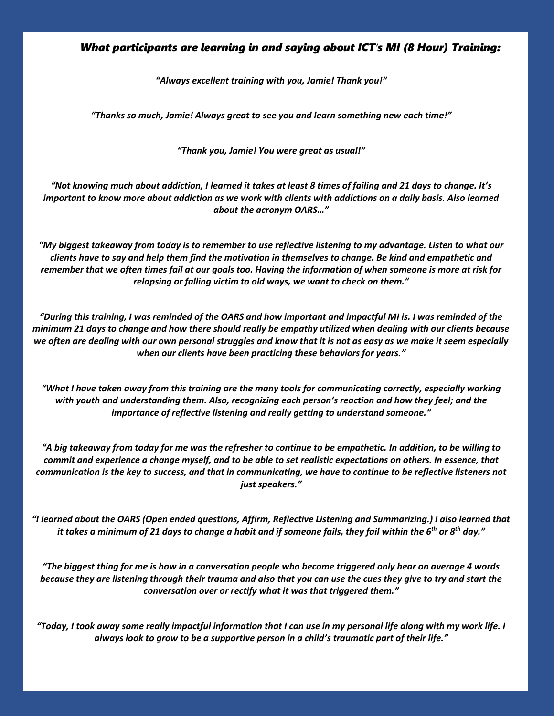## *What participants are learning in and saying about ICT's MI (8 Hour) Training:*

*"Always excellent training with you, Jamie! Thank you!"*

*"Thanks so much, Jamie! Always great to see you and learn something new each time!"*

*"Thank you, Jamie! You were great as usual!"*

*"Not knowing much about addiction, I learned it takes at least 8 times of failing and 21 days to change. It's important to know more about addiction as we work with clients with addictions on a daily basis. Also learned about the acronym OARS…"*

*"My biggest takeaway from today is to remember to use reflective listening to my advantage. Listen to what our clients have to say and help them find the motivation in themselves to change. Be kind and empathetic and remember that we often times fail at our goals too. Having the information of when someone is more at risk for relapsing or falling victim to old ways, we want to check on them."*

*"During this training, I was reminded of the OARS and how important and impactful MI is. I was reminded of the minimum 21 days to change and how there should really be empathy utilized when dealing with our clients because we often are dealing with our own personal struggles and know that it is not as easy as we make it seem especially when our clients have been practicing these behaviors for years."*

*"What I have taken away from this training are the many tools for communicating correctly, especially working with youth and understanding them. Also, recognizing each person's reaction and how they feel; and the importance of reflective listening and really getting to understand someone."*

*"A big takeaway from today for me was the refresher to continue to be empathetic. In addition, to be willing to commit and experience a change myself, and to be able to set realistic expectations on others. In essence, that communication is the key to success, and that in communicating, we have to continue to be reflective listeners not just speakers."*

*"I learned about the OARS (Open ended questions, Affirm, Reflective Listening and Summarizing.) I also learned that it takes a minimum of 21 days to change a habit and if someone fails, they fail within the 6 th or 8th day."*

*"The biggest thing for me is how in a conversation people who become triggered only hear on average 4 words because they are listening through their trauma and also that you can use the cues they give to try and start the conversation over or rectify what it was that triggered them."*

*"Today, I took away some really impactful information that I can use in my personal life along with my work life. I always look to grow to be a supportive person in a child's traumatic part of their life."*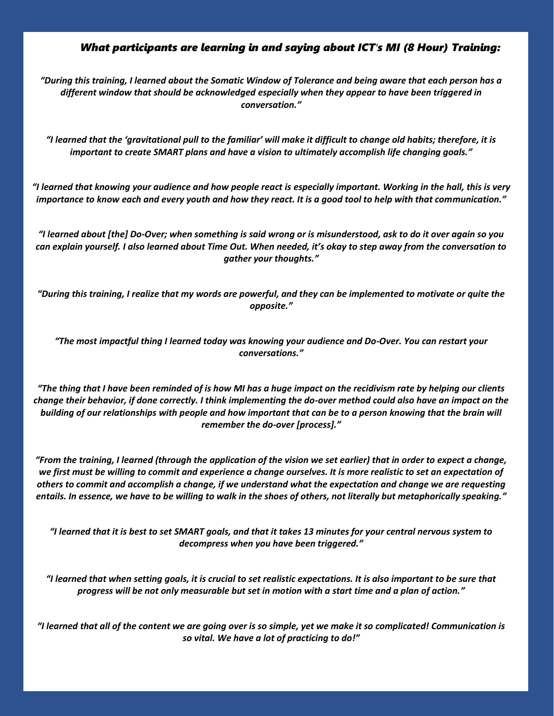## *What participants are learning in and saying about ICT's MI (8 Hour) Training:*

*"During this training, I learned about the Somatic Window of Tolerance and being aware that each person has a different window that should be acknowledged especially when they appear to have been triggered in conversation."*

*"I learned that the 'gravitational pull to the familiar' will make it difficult to change old habits; therefore, it is important to create SMART plans and have a vision to ultimately accomplish life changing goals."*

*"I learned that knowing your audience and how people react is especially important. Working in the hall, this is very importance to know each and every youth and how they react. It is a good tool to help with that communication."*

*"I learned about [the] Do-Over; when something is said wrong or is misunderstood, ask to do it over again so you can explain yourself. I also learned about Time Out. When needed, it's okay to step away from the conversation to gather your thoughts."*

*"During this training, I realize that my words are powerful, and they can be implemented to motivate or quite the opposite."*

*"The most impactful thing I learned today was knowing your audience and Do-Over. You can restart your conversations."*

*"The thing that I have been reminded of is how MI has a huge impact on the recidivism rate by helping our clients change their behavior, if done correctly. I think implementing the do-over method could also have an impact on the building of our relationships with people and how important that can be to a person knowing that the brain will remember the do-over [process]."*

*"From the training, I learned (through the application of the vision we set earlier) that in order to expect a change,*  we first must be willing to commit and experience a change ourselves. It is more realistic to set an expectation of *others to commit and accomplish a change, if we understand what the expectation and change we are requesting entails. In essence, we have to be willing to walk in the shoes of others, not literally but metaphorically speaking."*

*"I learned that it is best to set SMART goals, and that it takes 13 minutes for your central nervous system to decompress when you have been triggered."*

*"I learned that when setting goals, it is crucial to set realistic expectations. It is also important to be sure that progress will be not only measurable but set in motion with a start time and a plan of action."*

*"I learned that all of the content we are going over is so simple, yet we make it so complicated! Communication is so vital. We have a lot of practicing to do!"*